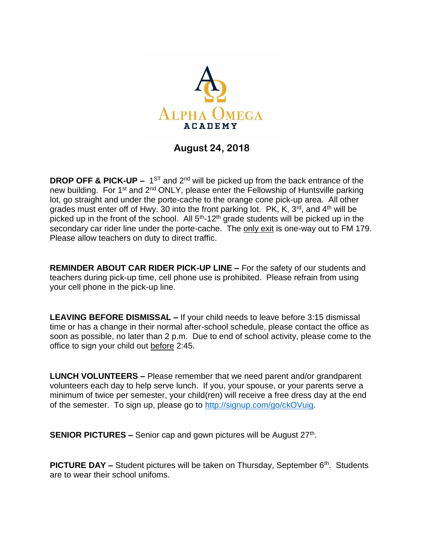

## **August 24, 2018**

**DROP OFF & PICK-UP** –  $1^{ST}$  and  $2^{nd}$  will be picked up from the back entrance of the new building. For 1<sup>st</sup> and 2<sup>nd</sup> ONLY, please enter the Fellowship of Huntsville parking lot, go straight and under the porte-cache to the orange cone pick-up area. All other grades must enter off of Hwy. 30 into the front parking lot.  $PK$ , K,  $3<sup>rd</sup>$ , and  $4<sup>th</sup>$  will be picked up in the front of the school. All  $5<sup>th</sup>$ -12<sup>th</sup> grade students will be picked up in the secondary car rider line under the porte-cache. The only exit is one-way out to FM 179. Please allow teachers on duty to direct traffic.

**REMINDER ABOUT CAR RIDER PICK-UP LINE –** For the safety of our students and teachers during pick-up time, cell phone use is prohibited. Please refrain from using your cell phone in the pick-up line.

**LEAVING BEFORE DISMISSAL –** If your child needs to leave before 3:15 dismissal time or has a change in their normal after-school schedule, please contact the office as soon as possible, no later than 2 p.m. Due to end of school activity, please come to the office to sign your child out before 2:45.

**LUNCH VOLUNTEERS –** Please remember that we need parent and/or grandparent volunteers each day to help serve lunch. If you, your spouse, or your parents serve a minimum of twice per semester, your child(ren) will receive a free dress day at the end of the semester. To sign up, please go to [http://signup.com/go/ckOVuig.](http://signup.com/go/ckOVuig)

**SENIOR PICTURES -** Senior cap and gown pictures will be August 27<sup>th</sup>.

**PICTURE DAY** – Student pictures will be taken on Thursday, September 6<sup>th</sup>. Students are to wear their school unifoms.